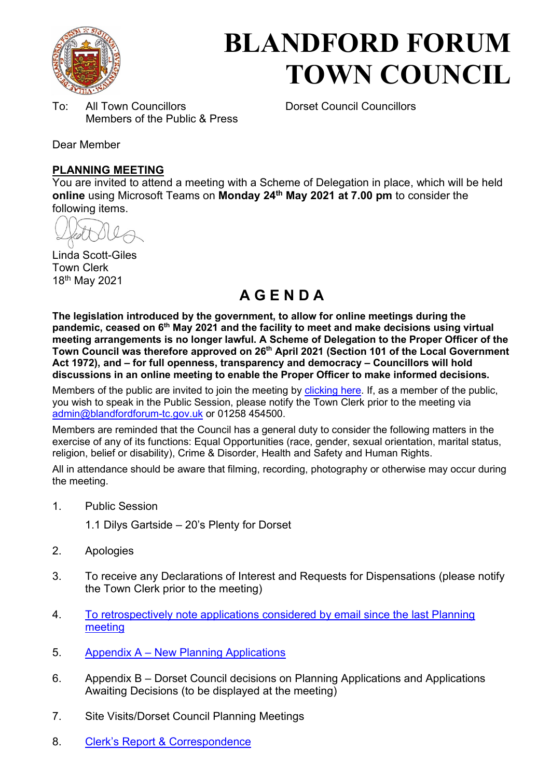

# **BLANDFORD FORUM TOWN COUNCIL**

To: All Town Councillors Dorset Council Councillors Members of the Public & Press

Dear Member

#### **PLANNING MEETING**

You are invited to attend a meeting with a Scheme of Delegation in place, which will be held **online** using Microsoft Teams on **Monday 24th May 2021 at 7.00 pm** to consider the following items.

Linda Scott-Giles Town Clerk 18th May 2021

# **A G E N D A**

**The legislation introduced by the government, to allow for online meetings during the pandemic, ceased on 6th May 2021 and the facility to meet and make decisions using virtual meeting arrangements is no longer lawful. A Scheme of Delegation to the Proper Officer of the Town Council was therefore approved on 26th April 2021 (Section 101 of the Local Government Act 1972), and – for full openness, transparency and democracy – Councillors will hold discussions in an online meeting to enable the Proper Officer to make informed decisions.** 

Members of the public are invited to join the meeting by [clicking here.](https://teams.microsoft.com/l/meetup-join/19%3ameeting_OGUyNTc2MzMtNDU1ZC00ZmJiLWJhMzMtZjRjMTY4MjdmZjEw%40thread.v2/0?context=%7b%22Tid%22%3a%223cd8f2fb-4c45-4162-86f1-fb87b5f6a138%22%2c%22Oid%22%3a%220c3baf8d-62e3-449c-a9c3-94a2df169799%22%7d) If, as a member of the public, you wish to speak in the Public Session, please notify the Town Clerk prior to the meeting via [admin@blandfordforum-tc.gov.uk](mailto:admin@blandfordforum-tc.gov.uk) or 01258 454500.

Members are reminded that the Council has a general duty to consider the following matters in the exercise of any of its functions: Equal Opportunities (race, gender, sexual orientation, marital status, religion, belief or disability), Crime & Disorder, Health and Safety and Human Rights.

All in attendance should be aware that filming, recording, photography or otherwise may occur during the meeting.

- 1. Public Session
	- 1.1 Dilys Gartside 20's Plenty for Dorset
- 2. Apologies
- 3. To receive any Declarations of Interest and Requests for Dispensations (please notify the Town Clerk prior to the meeting)
- 4. To retrospectively note applications considered by email since the last Planning [meeting](#page-2-0)
- 5. Appendix A – [New Planning Applications](#page-2-1)
- 6. Appendix B Dorset Council decisions on Planning Applications and Applications Awaiting Decisions (to be displayed at the meeting)
- 7. Site Visits/Dorset Council Planning Meetings
- 8. Clerk'[s Report & Correspondence](#page-7-0)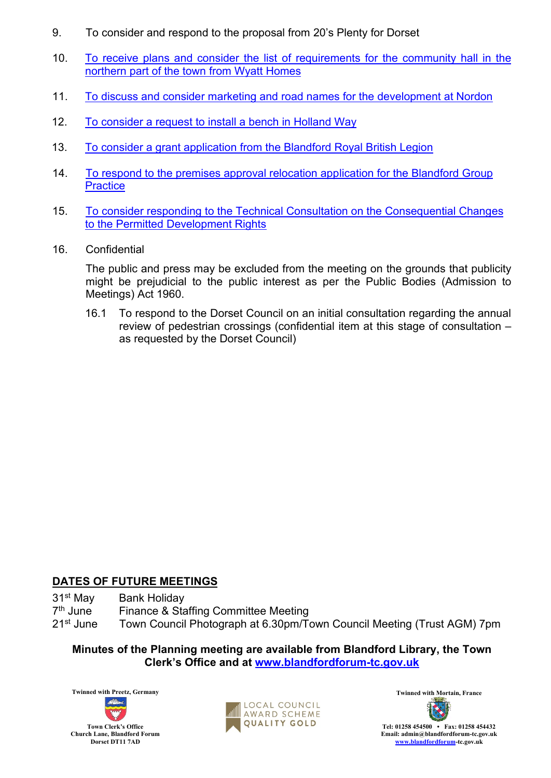- 9. To consider and respond to the proposal from 20's Plenty for Dorset
- 10. [To receive plans and consider the list of requirements for the community hall in the](#page-8-0) [northern part of the town from Wyatt Homes](#page-8-0)
- 11. [To discuss and consider marketing and road names for the development at Nordon](#page-10-0)
- 12. [To consider a request to install a bench in Holland Way](#page-11-0)
- 13. [To consider a grant application from the Blandford Royal](#page-12-0) British Legion
- 14. [To respond to the premises approval relocation application for the Blandford Group](#page-13-0) **[Practice](#page-13-0)**
- 15. [To consider responding to the Technical Consultation on the Consequential Changes](#page-14-0) [to the Permitted Development Rights](#page-14-0)
- 16. Confidential

 The public and press may be excluded from the meeting on the grounds that publicity might be prejudicial to the public interest as per the Public Bodies (Admission to Meetings) Act 1960.

16.1 To respond to the Dorset Council on an initial consultation regarding the annual review of pedestrian crossings (confidential item at this stage of consultation – as requested by the Dorset Council)

#### **DATES OF FUTURE MEETINGS**

- 31<sup>st</sup> May Bank Holiday
- 7<sup>th</sup> June<br>21<sup>st</sup> June Finance & Staffing Committee Meeting
- Town Council Photograph at 6.30pm/Town Council Meeting (Trust AGM) 7pm

**Minutes of the Planning meeting are available from Blandford Library, the Town Clerk's Office and at [www.blandfordforum-tc.gov.uk](http://www.blandfordforum-tc.gov.uk/)**





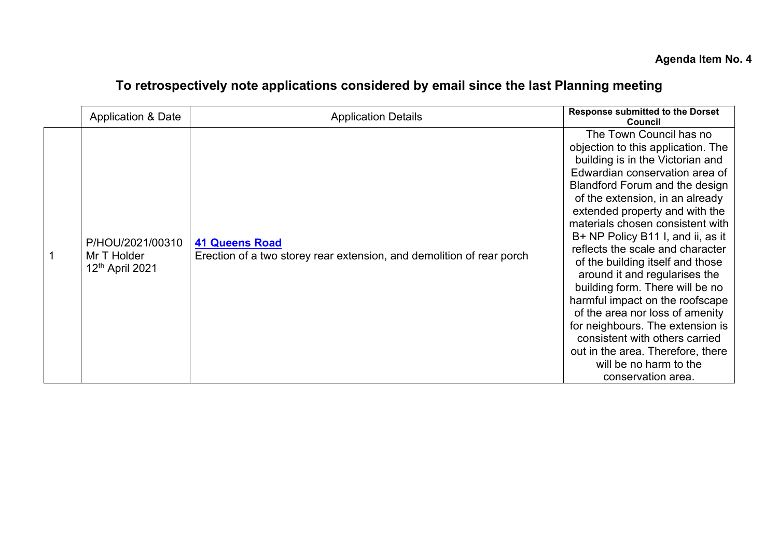# **To retrospectively note applications considered by email since the last Planning meeting**

<span id="page-2-1"></span><span id="page-2-0"></span>

| Application & Date                                 | <b>Application Details</b>                                                                     | <b>Response submitted to the Dorset</b><br><b>Council</b>                                                                                                                                                                                                                                                                                                                                                                                                                                                                                                                                                                                                                                               |
|----------------------------------------------------|------------------------------------------------------------------------------------------------|---------------------------------------------------------------------------------------------------------------------------------------------------------------------------------------------------------------------------------------------------------------------------------------------------------------------------------------------------------------------------------------------------------------------------------------------------------------------------------------------------------------------------------------------------------------------------------------------------------------------------------------------------------------------------------------------------------|
| P/HOU/2021/00310<br>Mr T Holder<br>12th April 2021 | <b>41 Queens Road</b><br>Erection of a two storey rear extension, and demolition of rear porch | The Town Council has no<br>objection to this application. The<br>building is in the Victorian and<br>Edwardian conservation area of<br><b>Blandford Forum and the design</b><br>of the extension, in an already<br>extended property and with the<br>materials chosen consistent with<br>B+ NP Policy B11 I, and ii, as it<br>reflects the scale and character<br>of the building itself and those<br>around it and regularises the<br>building form. There will be no<br>harmful impact on the roofscape<br>of the area nor loss of amenity<br>for neighbours. The extension is<br>consistent with others carried<br>out in the area. Therefore, there<br>will be no harm to the<br>conservation area. |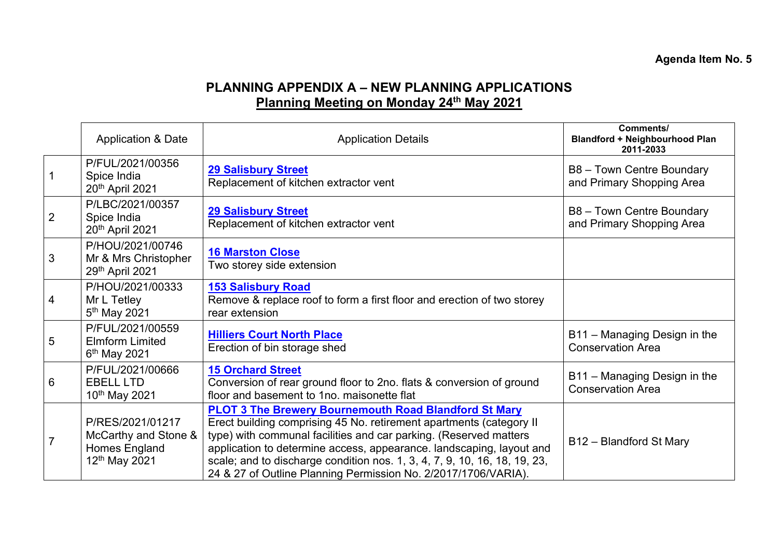#### **Agenda Item No. 5**

# **PLANNING APPENDIX A – NEW PLANNING APPLICATIONS Planning Meeting on Monday 24th May 2021**

|                | <b>Application &amp; Date</b>                                                          | <b>Application Details</b>                                                                                                                                                                                                                                                                                                                                                                                                      | Comments/<br><b>Blandford + Neighbourhood Plan</b><br>2011-2033 |
|----------------|----------------------------------------------------------------------------------------|---------------------------------------------------------------------------------------------------------------------------------------------------------------------------------------------------------------------------------------------------------------------------------------------------------------------------------------------------------------------------------------------------------------------------------|-----------------------------------------------------------------|
|                | P/FUL/2021/00356<br>Spice India<br>20 <sup>th</sup> April 2021                         | 29 Salisbury Street<br>Replacement of kitchen extractor vent                                                                                                                                                                                                                                                                                                                                                                    | B8 - Town Centre Boundary<br>and Primary Shopping Area          |
| 2              | P/LBC/2021/00357<br>Spice India<br>20 <sup>th</sup> April 2021                         | <b>29 Salisbury Street</b><br>Replacement of kitchen extractor vent                                                                                                                                                                                                                                                                                                                                                             | B8 - Town Centre Boundary<br>and Primary Shopping Area          |
| 3              | P/HOU/2021/00746<br>Mr & Mrs Christopher<br>29th April 2021                            | <b>16 Marston Close</b><br>Two storey side extension                                                                                                                                                                                                                                                                                                                                                                            |                                                                 |
| 4              | P/HOU/2021/00333<br>Mr L Tetley<br>5 <sup>th</sup> May 2021                            | <b>153 Salisbury Road</b><br>Remove & replace roof to form a first floor and erection of two storey<br>rear extension                                                                                                                                                                                                                                                                                                           |                                                                 |
| 5              | P/FUL/2021/00559<br><b>Elmform Limited</b><br>6 <sup>th</sup> May 2021                 | <b>Hilliers Court North Place</b><br>Erection of bin storage shed                                                                                                                                                                                                                                                                                                                                                               | B11 - Managing Design in the<br><b>Conservation Area</b>        |
| 6              | P/FUL/2021/00666<br><b>EBELL LTD</b><br>10 <sup>th</sup> May 2021                      | <b>15 Orchard Street</b><br>Conversion of rear ground floor to 2no. flats & conversion of ground<br>floor and basement to 1no. maisonette flat                                                                                                                                                                                                                                                                                  | B11 - Managing Design in the<br><b>Conservation Area</b>        |
| $\overline{7}$ | P/RES/2021/01217<br>McCarthy and Stone &<br>Homes England<br>12 <sup>th</sup> May 2021 | <b>PLOT 3 The Brewery Bournemouth Road Blandford St Mary</b><br>Erect building comprising 45 No. retirement apartments (category II<br>type) with communal facilities and car parking. (Reserved matters<br>application to determine access, appearance. landscaping, layout and<br>scale; and to discharge condition nos. 1, 3, 4, 7, 9, 10, 16, 18, 19, 23,<br>24 & 27 of Outline Planning Permission No. 2/2017/1706/VARIA). | B12 - Blandford St Mary                                         |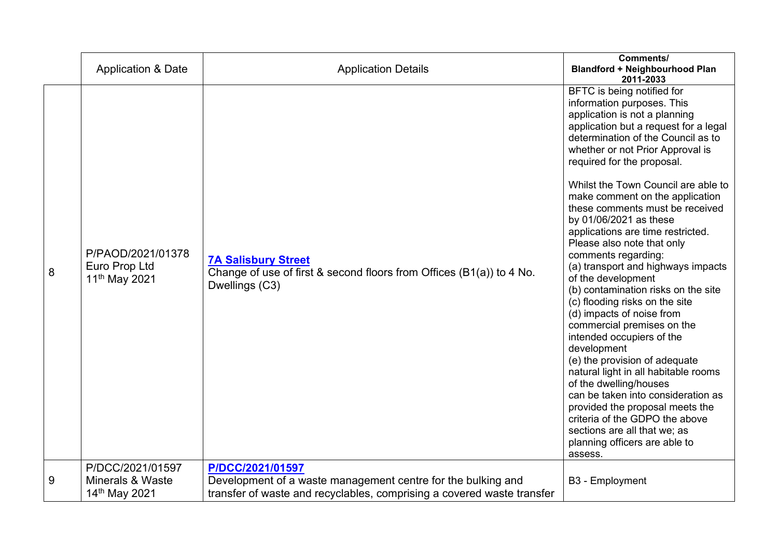|   | <b>Application &amp; Date</b>                                    | <b>Application Details</b>                                                                                                                                 | Comments/<br><b>Blandford + Neighbourhood Plan</b><br>2011-2033                                                                                                                                                                                                                                                                                                                                                                                                                                                                                                                                                                                                                                                                                                                                                                                                                                                                                                                                                          |
|---|------------------------------------------------------------------|------------------------------------------------------------------------------------------------------------------------------------------------------------|--------------------------------------------------------------------------------------------------------------------------------------------------------------------------------------------------------------------------------------------------------------------------------------------------------------------------------------------------------------------------------------------------------------------------------------------------------------------------------------------------------------------------------------------------------------------------------------------------------------------------------------------------------------------------------------------------------------------------------------------------------------------------------------------------------------------------------------------------------------------------------------------------------------------------------------------------------------------------------------------------------------------------|
| 8 | P/PAOD/2021/01378<br>Euro Prop Ltd<br>11 <sup>th</sup> May 2021  | <b>7A Salisbury Street</b><br>Change of use of first & second floors from Offices (B1(a)) to 4 No.<br>Dwellings (C3)                                       | <b>BFTC</b> is being notified for<br>information purposes. This<br>application is not a planning<br>application but a request for a legal<br>determination of the Council as to<br>whether or not Prior Approval is<br>required for the proposal.<br>Whilst the Town Council are able to<br>make comment on the application<br>these comments must be received<br>by 01/06/2021 as these<br>applications are time restricted.<br>Please also note that only<br>comments regarding:<br>(a) transport and highways impacts<br>of the development<br>(b) contamination risks on the site<br>(c) flooding risks on the site<br>(d) impacts of noise from<br>commercial premises on the<br>intended occupiers of the<br>development<br>(e) the provision of adequate<br>natural light in all habitable rooms<br>of the dwelling/houses<br>can be taken into consideration as<br>provided the proposal meets the<br>criteria of the GDPO the above<br>sections are all that we; as<br>planning officers are able to<br>assess. |
| 9 | P/DCC/2021/01597<br><b>Minerals &amp; Waste</b><br>14th May 2021 | P/DCC/2021/01597<br>Development of a waste management centre for the bulking and<br>transfer of waste and recyclables, comprising a covered waste transfer | B3 - Employment                                                                                                                                                                                                                                                                                                                                                                                                                                                                                                                                                                                                                                                                                                                                                                                                                                                                                                                                                                                                          |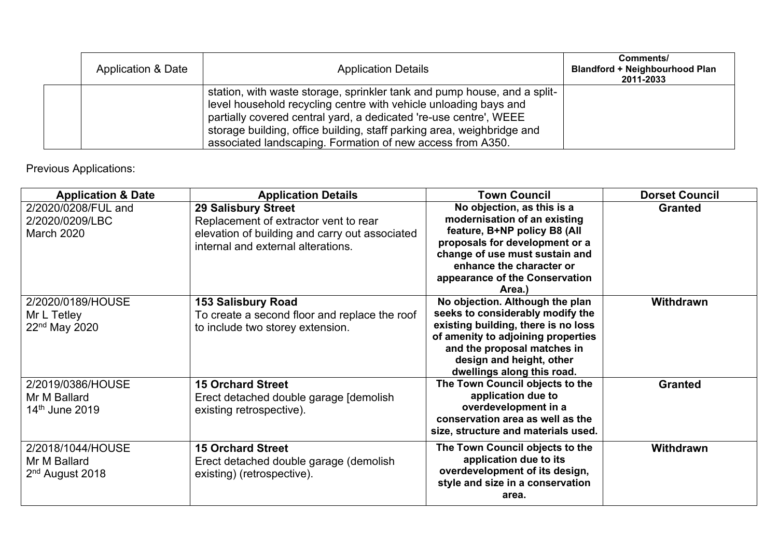| <b>Application &amp; Date</b> | <b>Application Details</b>                                                                                                                                                                                                                                                                                                                                | Comments/<br><b>Blandford + Neighbourhood Plan</b><br>2011-2033 |
|-------------------------------|-----------------------------------------------------------------------------------------------------------------------------------------------------------------------------------------------------------------------------------------------------------------------------------------------------------------------------------------------------------|-----------------------------------------------------------------|
|                               | station, with waste storage, sprinkler tank and pump house, and a split-<br>level household recycling centre with vehicle unloading bays and<br>partially covered central yard, a dedicated 're-use centre', WEEE<br>storage building, office building, staff parking area, weighbridge and<br>associated landscaping. Formation of new access from A350. |                                                                 |

# Previous Applications:

| <b>Application &amp; Date</b>                                    | <b>Application Details</b>                                                                                                                                  | <b>Town Council</b>                                                                                                                                                                                                                       | <b>Dorset Council</b> |
|------------------------------------------------------------------|-------------------------------------------------------------------------------------------------------------------------------------------------------------|-------------------------------------------------------------------------------------------------------------------------------------------------------------------------------------------------------------------------------------------|-----------------------|
| 2/2020/0208/FUL and<br>2/2020/0209/LBC<br><b>March 2020</b>      | <b>29 Salisbury Street</b><br>Replacement of extractor vent to rear<br>elevation of building and carry out associated<br>internal and external alterations. | No objection, as this is a<br>modernisation of an existing<br>feature, B+NP policy B8 (All<br>proposals for development or a<br>change of use must sustain and<br>enhance the character or<br>appearance of the Conservation<br>Area.)    | <b>Granted</b>        |
| 2/2020/0189/HOUSE<br>Mr L Tetley<br>22 <sup>nd</sup> May 2020    | <b>153 Salisbury Road</b><br>To create a second floor and replace the roof<br>to include two storey extension.                                              | No objection. Although the plan<br>seeks to considerably modify the<br>existing building, there is no loss<br>of amenity to adjoining properties<br>and the proposal matches in<br>design and height, other<br>dwellings along this road. | Withdrawn             |
| 2/2019/0386/HOUSE<br>Mr M Ballard<br>14 <sup>th</sup> June 2019  | <b>15 Orchard Street</b><br>Erect detached double garage [demolish]<br>existing retrospective).                                                             | The Town Council objects to the<br>application due to<br>overdevelopment in a<br>conservation area as well as the<br>size, structure and materials used.                                                                                  | <b>Granted</b>        |
| 2/2018/1044/HOUSE<br>Mr M Ballard<br>2 <sup>nd</sup> August 2018 | <b>15 Orchard Street</b><br>Erect detached double garage (demolish<br>existing) (retrospective).                                                            | The Town Council objects to the<br>application due to its<br>overdevelopment of its design,<br>style and size in a conservation<br>area.                                                                                                  | Withdrawn             |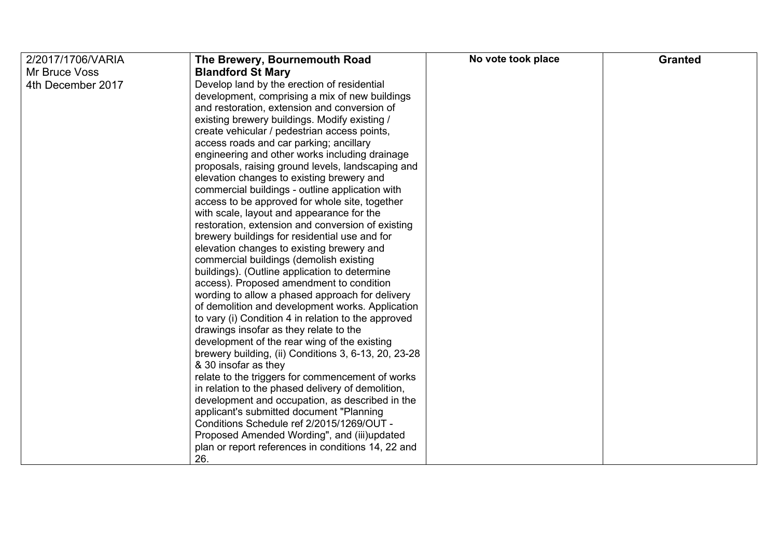| 2/2017/1706/VARIA | The Brewery, Bournemouth Road                        | No vote took place | <b>Granted</b> |
|-------------------|------------------------------------------------------|--------------------|----------------|
| Mr Bruce Voss     | <b>Blandford St Mary</b>                             |                    |                |
| 4th December 2017 | Develop land by the erection of residential          |                    |                |
|                   | development, comprising a mix of new buildings       |                    |                |
|                   | and restoration, extension and conversion of         |                    |                |
|                   | existing brewery buildings. Modify existing /        |                    |                |
|                   | create vehicular / pedestrian access points,         |                    |                |
|                   | access roads and car parking; ancillary              |                    |                |
|                   | engineering and other works including drainage       |                    |                |
|                   | proposals, raising ground levels, landscaping and    |                    |                |
|                   | elevation changes to existing brewery and            |                    |                |
|                   | commercial buildings - outline application with      |                    |                |
|                   | access to be approved for whole site, together       |                    |                |
|                   | with scale, layout and appearance for the            |                    |                |
|                   | restoration, extension and conversion of existing    |                    |                |
|                   | brewery buildings for residential use and for        |                    |                |
|                   | elevation changes to existing brewery and            |                    |                |
|                   | commercial buildings (demolish existing              |                    |                |
|                   | buildings). (Outline application to determine        |                    |                |
|                   | access). Proposed amendment to condition             |                    |                |
|                   | wording to allow a phased approach for delivery      |                    |                |
|                   | of demolition and development works. Application     |                    |                |
|                   | to vary (i) Condition 4 in relation to the approved  |                    |                |
|                   | drawings insofar as they relate to the               |                    |                |
|                   | development of the rear wing of the existing         |                    |                |
|                   | brewery building, (ii) Conditions 3, 6-13, 20, 23-28 |                    |                |
|                   | & 30 insofar as they                                 |                    |                |
|                   | relate to the triggers for commencement of works     |                    |                |
|                   | in relation to the phased delivery of demolition,    |                    |                |
|                   | development and occupation, as described in the      |                    |                |
|                   | applicant's submitted document "Planning             |                    |                |
|                   | Conditions Schedule ref 2/2015/1269/OUT -            |                    |                |
|                   | Proposed Amended Wording", and (iii)updated          |                    |                |
|                   | plan or report references in conditions 14, 22 and   |                    |                |
|                   | 26.                                                  |                    |                |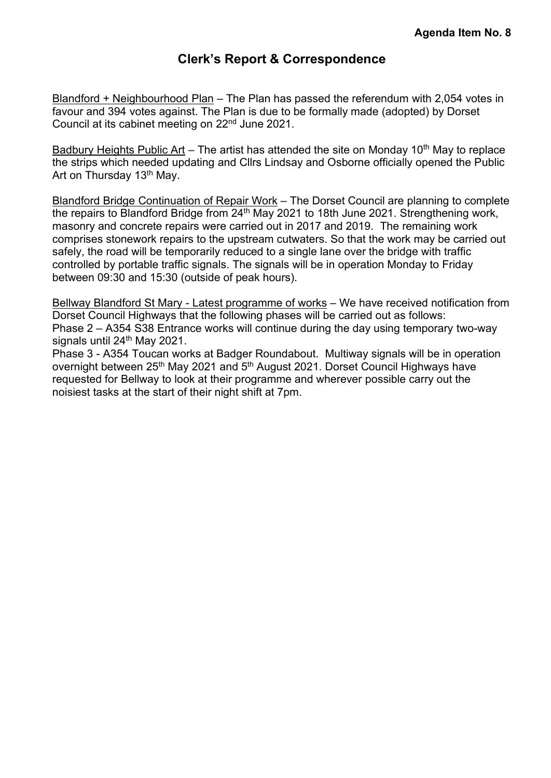## **Clerk's Re[port & Correspondence](#page-7-0)**

<span id="page-7-0"></span>Blandford + Neighbourhood Plan – The Plan has passed the referendum with 2,054 votes in favour and 394 votes against. The Plan is due to be formally made (adopted) by Dorset Council at its cabinet meeting on 22nd June 2021.

Badbury Heights Public Art – The artist has attended the site on Monday 10<sup>th</sup> May to replace the strips which needed updating and Cllrs Lindsay and Osborne officially opened the Public Art on Thursday 13<sup>th</sup> May.

Blandford Bridge Continuation of Repair Work – The Dorset Council are planning to complete the repairs to Blandford Bridge from 24<sup>th</sup> May 2021 to 18th June 2021. Strengthening work, masonry and concrete repairs were carried out in 2017 and 2019. The remaining work comprises stonework repairs to the upstream cutwaters. So that the work may be carried out safely, the road will be temporarily reduced to a single lane over the bridge with traffic controlled by portable traffic signals. The signals will be in operation Monday to Friday between 09:30 and 15:30 (outside of peak hours).

Bellway Blandford St Mary - Latest programme of works – We have received notification from Dorset Council Highways that the following phases will be carried out as follows: Phase 2 – A354 S38 Entrance works will continue during the day using temporary two-way signals until 24<sup>th</sup> May 2021.

Phase 3 - A354 Toucan works at Badger Roundabout. Multiway signals will be in operation overnight between 25<sup>th</sup> May 2021 and 5<sup>th</sup> August 2021. Dorset Council Highways have requested for Bellway to look at their programme and wherever possible carry out the noisiest tasks at the start of their night shift at 7pm.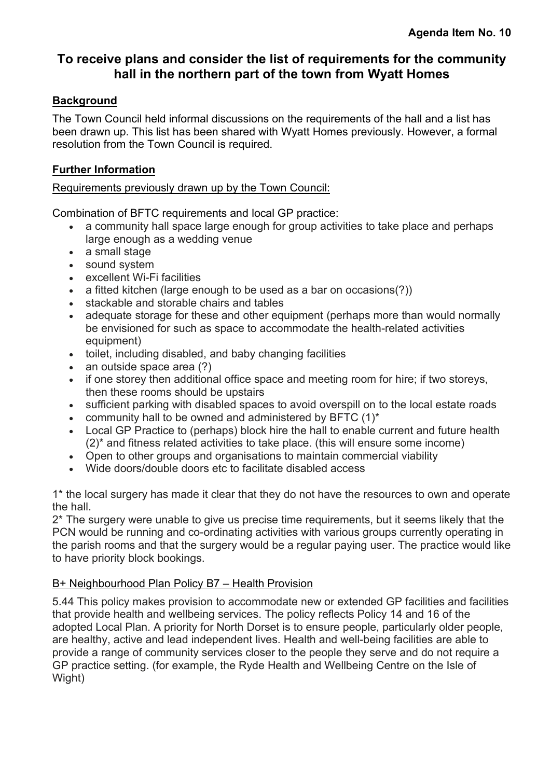# <span id="page-8-0"></span>**To receive plans and consider the list of requirements for the community hall in the northern part of the town from Wyatt Homes**

#### **Background**

The Town Council held informal discussions on the requirements of the hall and a list has been drawn up. This list has been shared with Wyatt Homes previously. However, a formal resolution from the Town Council is required.

#### **Further Information**

#### Requirements previously drawn up by the Town Council:

Combination of BFTC requirements and local GP practice:

- a community hall space large enough for group activities to take place and perhaps large enough as a wedding venue
- a small stage
- sound system
- excellent Wi-Fi facilities
- a fitted kitchen (large enough to be used as a bar on occasions(?))
- stackable and storable chairs and tables
- adequate storage for these and other equipment (perhaps more than would normally be envisioned for such as space to accommodate the health-related activities equipment)
- toilet, including disabled, and baby changing facilities
- an outside space area (?)
- if one storey then additional office space and meeting room for hire; if two storeys, then these rooms should be upstairs
- sufficient parking with disabled spaces to avoid overspill on to the local estate roads
- community hall to be owned and administered by BFTC  $(1)^*$
- Local GP Practice to (perhaps) block hire the hall to enable current and future health (2)\* and fitness related activities to take place. (this will ensure some income)
- Open to other groups and organisations to maintain commercial viability
- Wide doors/double doors etc to facilitate disabled access

1\* the local surgery has made it clear that they do not have the resources to own and operate the hall.

2\* The surgery were unable to give us precise time requirements, but it seems likely that the PCN would be running and co-ordinating activities with various groups currently operating in the parish rooms and that the surgery would be a regular paying user. The practice would like to have priority block bookings.

#### B+ Neighbourhood Plan Policy B7 – Health Provision

5.44 This policy makes provision to accommodate new or extended GP facilities and facilities that provide health and wellbeing services. The policy reflects Policy 14 and 16 of the adopted Local Plan. A priority for North Dorset is to ensure people, particularly older people, are healthy, active and lead independent lives. Health and well-being facilities are able to provide a range of community services closer to the people they serve and do not require a GP practice setting. (for example, the Ryde Health and Wellbeing Centre on the Isle of Wight)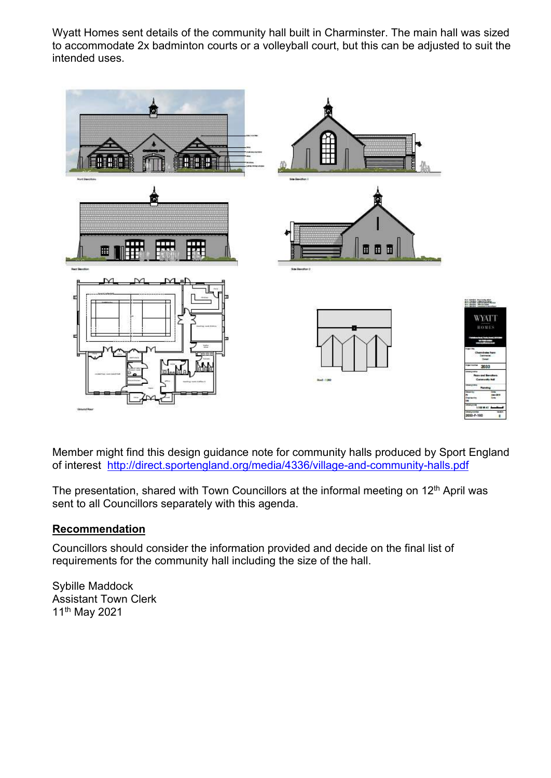Wyatt Homes sent details of the community hall built in Charminster. The main hall was sized to accommodate 2x badminton courts or a volleyball court, but this can be adjusted to suit the intended uses.



Member might find this design guidance note for community halls produced by Sport England of interest <http://direct.sportengland.org/media/4336/village-and-community-halls.pdf>

The presentation, shared with Town Councillors at the informal meeting on 12<sup>th</sup> April was sent to all Councillors separately with this agenda.

#### **Recommendation**

Councillors should consider the information provided and decide on the final list of requirements for the community hall including the size of the hall.

Sybille Maddock Assistant Town Clerk 11th May 2021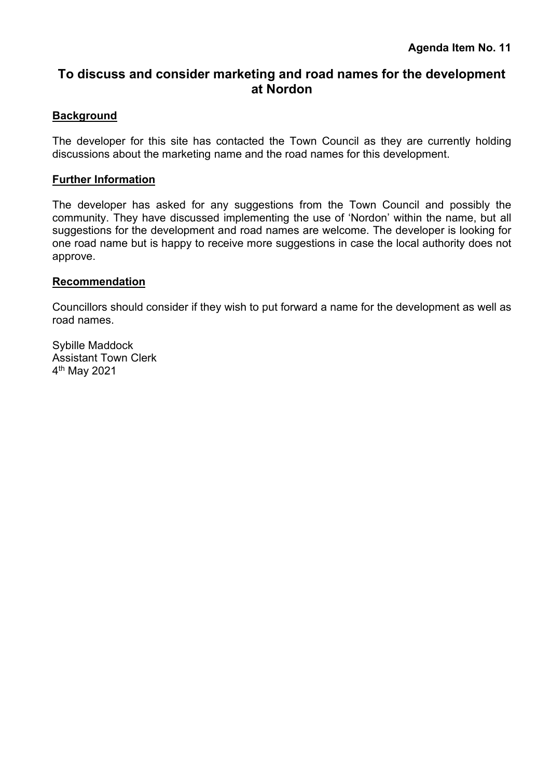### <span id="page-10-0"></span>**To discuss and consider marketing and road names for the development at Nordon**

#### **Background**

The developer for this site has contacted the Town Council as they are currently holding discussions about the marketing name and the road names for this development.

#### **Further Information**

The developer has asked for any suggestions from the Town Council and possibly the community. They have discussed implementing the use of 'Nordon' within the name, but all suggestions for the development and road names are welcome. The developer is looking for one road name but is happy to receive more suggestions in case the local authority does not approve.

#### **Recommendation**

Councillors should consider if they wish to put forward a name for the development as well as road names.

Sybille Maddock Assistant Town Clerk 4 th May 2021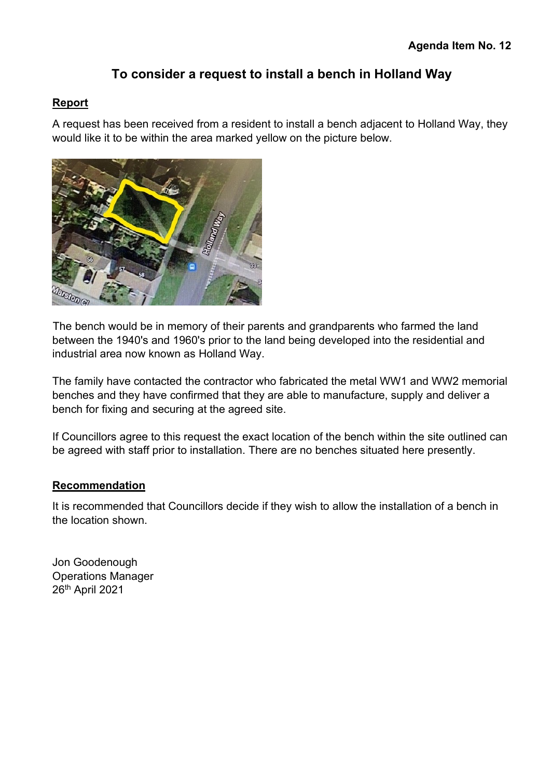# **To consider a request to install a bench in Holland Way**

#### <span id="page-11-0"></span>**Report**

A request has been received from a resident to install a bench adjacent to Holland Way, they would like it to be within the area marked yellow on the picture below.



The bench would be in memory of their parents and grandparents who farmed the land between the 1940's and 1960's prior to the land being developed into the residential and industrial area now known as Holland Way.

The family have contacted the contractor who fabricated the metal WW1 and WW2 memorial benches and they have confirmed that they are able to manufacture, supply and deliver a bench for fixing and securing at the agreed site.

If Councillors agree to this request the exact location of the bench within the site outlined can be agreed with staff prior to installation. There are no benches situated here presently.

#### **Recommendation**

It is recommended that Councillors decide if they wish to allow the installation of a bench in the location shown.

Jon Goodenough Operations Manager 26th April 2021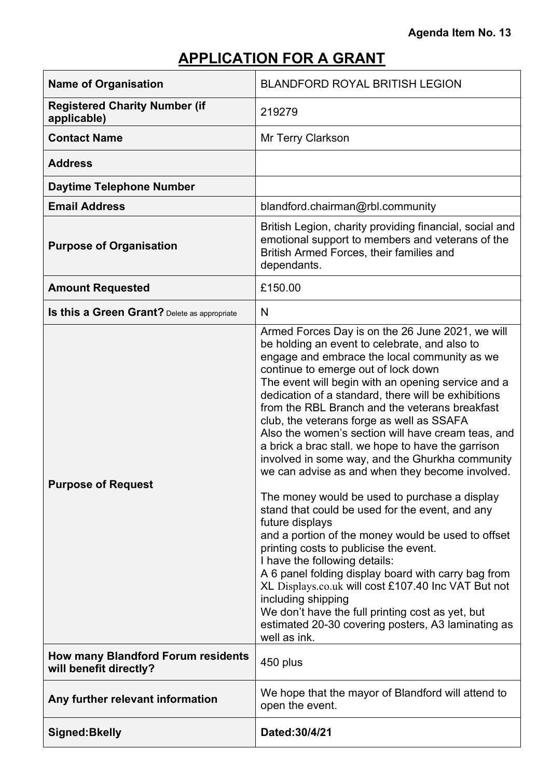# **Agenda Item No. 13**

# **APPLICATION FOR A GRANT**

<span id="page-12-0"></span>

| <b>Name of Organisation</b>                                         | <b>BLANDFORD ROYAL BRITISH LEGION</b>                                                                                                                                                                                                                                                                                                                                                                                                                                                                                                                                                                                                                                                                                                                                                                                                                                                                                                                                                                                                                                                                                                        |
|---------------------------------------------------------------------|----------------------------------------------------------------------------------------------------------------------------------------------------------------------------------------------------------------------------------------------------------------------------------------------------------------------------------------------------------------------------------------------------------------------------------------------------------------------------------------------------------------------------------------------------------------------------------------------------------------------------------------------------------------------------------------------------------------------------------------------------------------------------------------------------------------------------------------------------------------------------------------------------------------------------------------------------------------------------------------------------------------------------------------------------------------------------------------------------------------------------------------------|
| <b>Registered Charity Number (if</b><br>applicable)                 | 219279                                                                                                                                                                                                                                                                                                                                                                                                                                                                                                                                                                                                                                                                                                                                                                                                                                                                                                                                                                                                                                                                                                                                       |
| <b>Contact Name</b>                                                 | <b>Mr Terry Clarkson</b>                                                                                                                                                                                                                                                                                                                                                                                                                                                                                                                                                                                                                                                                                                                                                                                                                                                                                                                                                                                                                                                                                                                     |
| <b>Address</b>                                                      |                                                                                                                                                                                                                                                                                                                                                                                                                                                                                                                                                                                                                                                                                                                                                                                                                                                                                                                                                                                                                                                                                                                                              |
| <b>Daytime Telephone Number</b>                                     |                                                                                                                                                                                                                                                                                                                                                                                                                                                                                                                                                                                                                                                                                                                                                                                                                                                                                                                                                                                                                                                                                                                                              |
| <b>Email Address</b>                                                | blandford.chairman@rbl.community                                                                                                                                                                                                                                                                                                                                                                                                                                                                                                                                                                                                                                                                                                                                                                                                                                                                                                                                                                                                                                                                                                             |
| <b>Purpose of Organisation</b>                                      | British Legion, charity providing financial, social and<br>emotional support to members and veterans of the<br>British Armed Forces, their families and<br>dependants.                                                                                                                                                                                                                                                                                                                                                                                                                                                                                                                                                                                                                                                                                                                                                                                                                                                                                                                                                                       |
| <b>Amount Requested</b>                                             | £150.00                                                                                                                                                                                                                                                                                                                                                                                                                                                                                                                                                                                                                                                                                                                                                                                                                                                                                                                                                                                                                                                                                                                                      |
| Is this a Green Grant? Delete as appropriate                        | N                                                                                                                                                                                                                                                                                                                                                                                                                                                                                                                                                                                                                                                                                                                                                                                                                                                                                                                                                                                                                                                                                                                                            |
| <b>Purpose of Request</b>                                           | Armed Forces Day is on the 26 June 2021, we will<br>be holding an event to celebrate, and also to<br>engage and embrace the local community as we<br>continue to emerge out of lock down<br>The event will begin with an opening service and a<br>dedication of a standard, there will be exhibitions<br>from the RBL Branch and the veterans breakfast<br>club, the veterans forge as well as SSAFA<br>Also the women's section will have cream teas, and<br>a brick a brac stall. we hope to have the garrison<br>involved in some way, and the Ghurkha community<br>we can advise as and when they become involved.<br>The money would be used to purchase a display<br>stand that could be used for the event, and any<br>future displays<br>and a portion of the money would be used to offset<br>printing costs to publicise the event.<br>I have the following details:<br>A 6 panel folding display board with carry bag from<br>XL Displays.co.uk will cost £107.40 Inc VAT But not<br>including shipping<br>We don't have the full printing cost as yet, but<br>estimated 20-30 covering posters, A3 laminating as<br>well as ink. |
| <b>How many Blandford Forum residents</b><br>will benefit directly? | 450 plus                                                                                                                                                                                                                                                                                                                                                                                                                                                                                                                                                                                                                                                                                                                                                                                                                                                                                                                                                                                                                                                                                                                                     |
| Any further relevant information                                    | We hope that the mayor of Blandford will attend to<br>open the event.                                                                                                                                                                                                                                                                                                                                                                                                                                                                                                                                                                                                                                                                                                                                                                                                                                                                                                                                                                                                                                                                        |
| <b>Signed:Bkelly</b>                                                | Dated: 30/4/21                                                                                                                                                                                                                                                                                                                                                                                                                                                                                                                                                                                                                                                                                                                                                                                                                                                                                                                                                                                                                                                                                                                               |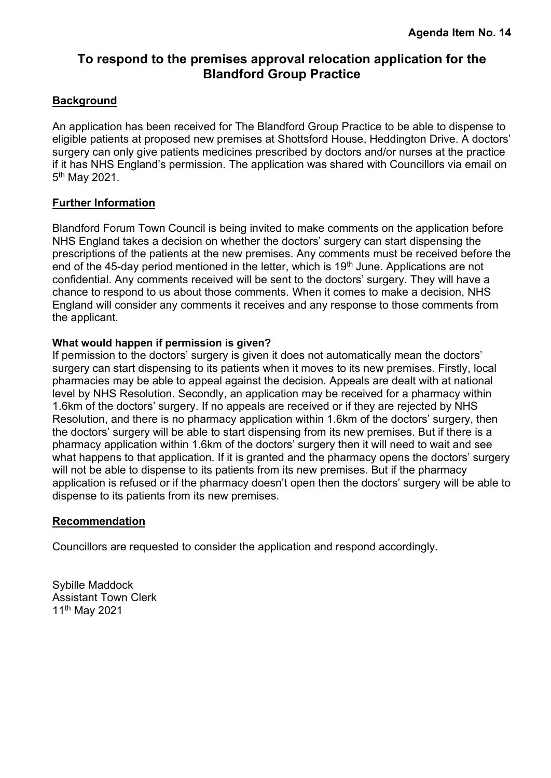## <span id="page-13-0"></span>**To respond to the premises approval relocation application for the Blandford Group Practice**

#### **Background**

An application has been received for The Blandford Group Practice to be able to dispense to eligible patients at proposed new premises at Shottsford House, Heddington Drive. A doctors' surgery can only give patients medicines prescribed by doctors and/or nurses at the practice if it has NHS England's permission. The application was shared with Councillors via email on 5<sup>th</sup> May 2021.

#### **Further Information**

Blandford Forum Town Council is being invited to make comments on the application before NHS England takes a decision on whether the doctors' surgery can start dispensing the prescriptions of the patients at the new premises. Any comments must be received before the end of the 45-day period mentioned in the letter, which is 19<sup>th</sup> June. Applications are not confidential. Any comments received will be sent to the doctors' surgery. They will have a chance to respond to us about those comments. When it comes to make a decision, NHS England will consider any comments it receives and any response to those comments from the applicant.

#### **What would happen if permission is given?**

If permission to the doctors' surgery is given it does not automatically mean the doctors' surgery can start dispensing to its patients when it moves to its new premises. Firstly, local pharmacies may be able to appeal against the decision. Appeals are dealt with at national level by NHS Resolution. Secondly, an application may be received for a pharmacy within 1.6km of the doctors' surgery. If no appeals are received or if they are rejected by NHS Resolution, and there is no pharmacy application within 1.6km of the doctors' surgery, then the doctors' surgery will be able to start dispensing from its new premises. But if there is a pharmacy application within 1.6km of the doctors' surgery then it will need to wait and see what happens to that application. If it is granted and the pharmacy opens the doctors' surgery will not be able to dispense to its patients from its new premises. But if the pharmacy application is refused or if the pharmacy doesn't open then the doctors' surgery will be able to dispense to its patients from its new premises.

#### **Recommendation**

Councillors are requested to consider the application and respond accordingly.

Sybille Maddock Assistant Town Clerk 11th May 2021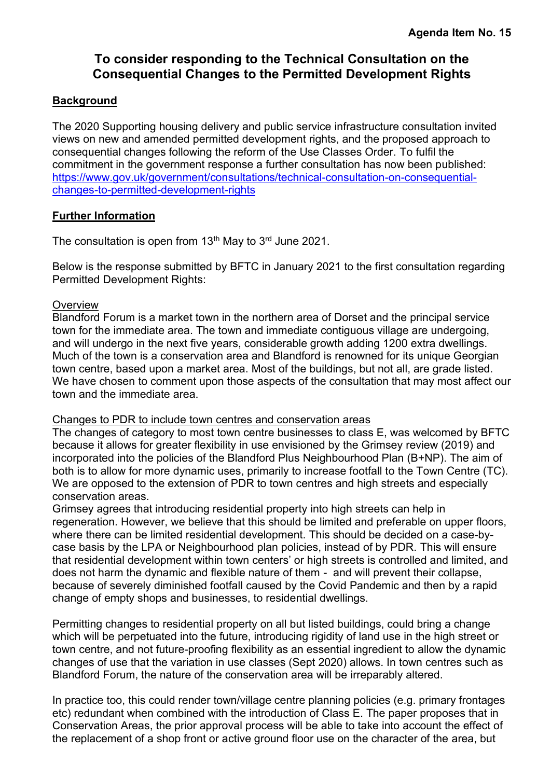## **To consider responding to the Technical Consultation on the Consequential Changes to the Permitted Development Rights**

#### <span id="page-14-0"></span>**Background**

The 2020 Supporting housing delivery and public service infrastructure consultation invited views on new and amended permitted development rights, and the proposed approach to consequential changes following the reform of the Use Classes Order. To fulfil the commitment in the government response a further consultation has now been published: [https://www.gov.uk/government/consultations/technical-consultation-on-consequential](https://www.gov.uk/government/consultations/technical-consultation-on-consequential-changes-to-permitted-development-rights)[changes-to-permitted-development-rights](https://www.gov.uk/government/consultations/technical-consultation-on-consequential-changes-to-permitted-development-rights)

#### **Further Information**

The consultation is open from 13<sup>th</sup> May to 3<sup>rd</sup> June 2021.

Below is the response submitted by BFTC in January 2021 to the first consultation regarding Permitted Development Rights:

#### **Overview**

Blandford Forum is a market town in the northern area of Dorset and the principal service town for the immediate area. The town and immediate contiguous village are undergoing. and will undergo in the next five years, considerable growth adding 1200 extra dwellings. Much of the town is a conservation area and Blandford is renowned for its unique Georgian town centre, based upon a market area. Most of the buildings, but not all, are grade listed. We have chosen to comment upon those aspects of the consultation that may most affect our town and the immediate area.

#### Changes to PDR to include town centres and conservation areas

The changes of category to most town centre businesses to class E, was welcomed by BFTC because it allows for greater flexibility in use envisioned by the Grimsey review (2019) and incorporated into the policies of the Blandford Plus Neighbourhood Plan (B+NP). The aim of both is to allow for more dynamic uses, primarily to increase footfall to the Town Centre (TC). We are opposed to the extension of PDR to town centres and high streets and especially conservation areas.

Grimsey agrees that introducing residential property into high streets can help in regeneration. However, we believe that this should be limited and preferable on upper floors, where there can be limited residential development. This should be decided on a case-bycase basis by the LPA or Neighbourhood plan policies, instead of by PDR. This will ensure that residential development within town centers' or high streets is controlled and limited, and does not harm the dynamic and flexible nature of them - and will prevent their collapse, because of severely diminished footfall caused by the Covid Pandemic and then by a rapid change of empty shops and businesses, to residential dwellings.

Permitting changes to residential property on all but listed buildings, could bring a change which will be perpetuated into the future, introducing rigidity of land use in the high street or town centre, and not future-proofing flexibility as an essential ingredient to allow the dynamic changes of use that the variation in use classes (Sept 2020) allows. In town centres such as Blandford Forum, the nature of the conservation area will be irreparably altered.

In practice too, this could render town/village centre planning policies (e.g. primary frontages etc) redundant when combined with the introduction of Class E. The paper proposes that in Conservation Areas, the prior approval process will be able to take into account the effect of the replacement of a shop front or active ground floor use on the character of the area, but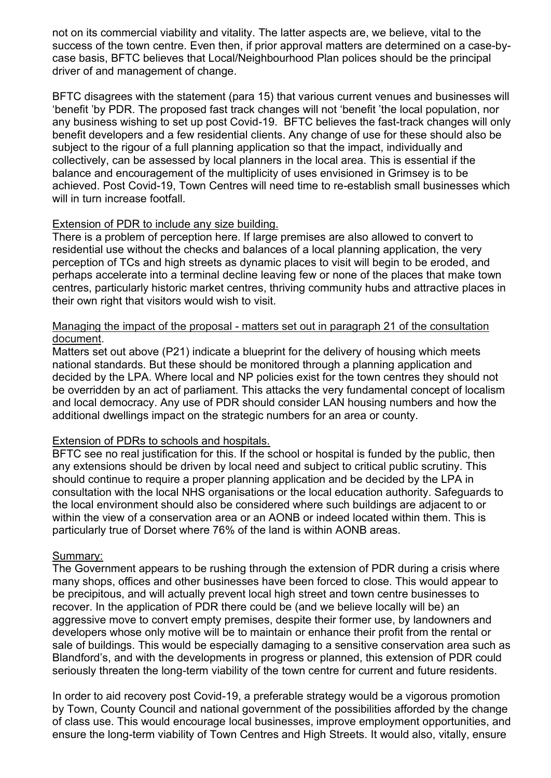not on its commercial viability and vitality. The latter aspects are, we believe, vital to the success of the town centre. Even then, if prior approval matters are determined on a case-bycase basis, BFTC believes that Local/Neighbourhood Plan polices should be the principal driver of and management of change.

BFTC disagrees with the statement (para 15) that various current venues and businesses will 'benefit 'by PDR. The proposed fast track changes will not 'benefit 'the local population, nor any business wishing to set up post Covid-19. BFTC believes the fast-track changes will only benefit developers and a few residential clients. Any change of use for these should also be subject to the rigour of a full planning application so that the impact, individually and collectively, can be assessed by local planners in the local area. This is essential if the balance and encouragement of the multiplicity of uses envisioned in Grimsey is to be achieved. Post Covid-19, Town Centres will need time to re-establish small businesses which will in turn increase footfall.

#### Extension of PDR to include any size building.

There is a problem of perception here. If large premises are also allowed to convert to residential use without the checks and balances of a local planning application, the very perception of TCs and high streets as dynamic places to visit will begin to be eroded, and perhaps accelerate into a terminal decline leaving few or none of the places that make town centres, particularly historic market centres, thriving community hubs and attractive places in their own right that visitors would wish to visit.

#### Managing the impact of the proposal - matters set out in paragraph 21 of the consultation document.

Matters set out above (P21) indicate a blueprint for the delivery of housing which meets national standards. But these should be monitored through a planning application and decided by the LPA. Where local and NP policies exist for the town centres they should not be overridden by an act of parliament. This attacks the very fundamental concept of localism and local democracy. Any use of PDR should consider LAN housing numbers and how the additional dwellings impact on the strategic numbers for an area or county.

#### Extension of PDRs to schools and hospitals.

BFTC see no real justification for this. If the school or hospital is funded by the public, then any extensions should be driven by local need and subject to critical public scrutiny. This should continue to require a proper planning application and be decided by the LPA in consultation with the local NHS organisations or the local education authority. Safeguards to the local environment should also be considered where such buildings are adjacent to or within the view of a conservation area or an AONB or indeed located within them. This is particularly true of Dorset where 76% of the land is within AONB areas.

#### Summary:

The Government appears to be rushing through the extension of PDR during a crisis where many shops, offices and other businesses have been forced to close. This would appear to be precipitous, and will actually prevent local high street and town centre businesses to recover. In the application of PDR there could be (and we believe locally will be) an aggressive move to convert empty premises, despite their former use, by landowners and developers whose only motive will be to maintain or enhance their profit from the rental or sale of buildings. This would be especially damaging to a sensitive conservation area such as Blandford's, and with the developments in progress or planned, this extension of PDR could seriously threaten the long-term viability of the town centre for current and future residents.

In order to aid recovery post Covid-19, a preferable strategy would be a vigorous promotion by Town, County Council and national government of the possibilities afforded by the change of class use. This would encourage local businesses, improve employment opportunities, and ensure the long-term viability of Town Centres and High Streets. It would also, vitally, ensure